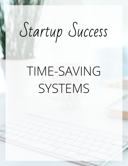# Startup Success

# TIME-SAVING SYSTEMS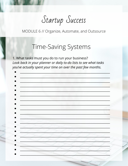Startup Success

## **Time-Saving Systems**

1. What tasks must you do to run your business? Look back in your planner or daily to-do lists to see what tasks you've actually spent your time on over the past few months.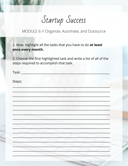Startup Success

2. Now, highlight all the tasks that you have to do at least once every month.

3. Choose the first highlighted task and write a list of all of the steps required to accomplish that task.

| Task:  |
|--------|
| Steps: |
|        |
|        |
|        |
|        |
|        |
|        |
|        |
|        |
|        |
|        |
|        |
|        |
|        |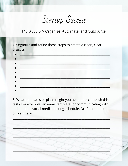Startup Success

4. Organize and refine those steps to create a clean, clear process.

| <u>ga sababat ng mga sangang ng mga sangang ng mga sangang ng mga sangang ng mga sangang ng mga sangang ng mga sangang ng mga sangang ng mga sangang ng mga sangang ng mga sangang ng mga sangang ng mga sangang ng mga sangang </u> |  |  |
|--------------------------------------------------------------------------------------------------------------------------------------------------------------------------------------------------------------------------------------|--|--|
| <u> 1950 - Johann Marie Barn, mars fransk politik (</u>                                                                                                                                                                              |  |  |
| <u> Tanto de la construcción de la construcción de la construcción de la construcción de la construcción de la c</u>                                                                                                                 |  |  |
|                                                                                                                                                                                                                                      |  |  |
|                                                                                                                                                                                                                                      |  |  |
|                                                                                                                                                                                                                                      |  |  |
|                                                                                                                                                                                                                                      |  |  |
|                                                                                                                                                                                                                                      |  |  |

5. What templates or plans might you need to accomplish this task? For example, an email template for communicating with a client, or a social media posting schedule. Draft the template or plan here:

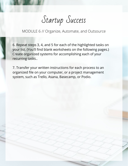Startup Success

6. Repeat steps 3, 4, and 5 for each of the highlighted tasks on your list. (You'll find blank worksheets on the following pages.) Create organized systems for accomplishing each of your recurring tasks..

7. Transfer your written instructions for each process to an organized file on your computer, or a project management system, such as Trello, Asana, Basecamp, or Podio.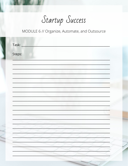Startup Success

| Task: _ |  |
|---------|--|
| Steps:  |  |
|         |  |
|         |  |
|         |  |
|         |  |
|         |  |
|         |  |
|         |  |
|         |  |
|         |  |
|         |  |
|         |  |
|         |  |
|         |  |